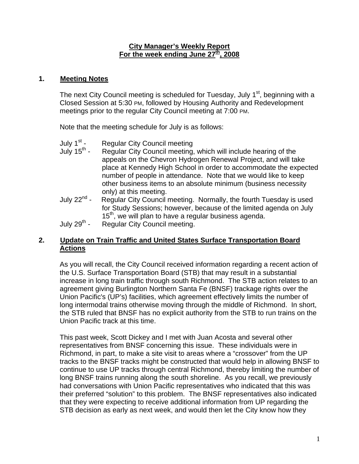#### **City Manager's Weekly Report** For the week ending June 27<sup>th</sup>, 2008

#### **1. Meeting Notes**

The next City Council meeting is scheduled for Tuesday, July 1<sup>st</sup>, beginning with a Closed Session at 5:30 PM, followed by Housing Authority and Redevelopment meetings prior to the regular City Council meeting at 7:00 PM.

Note that the meeting schedule for July is as follows:

- July 1<sup>st</sup> Regular City Council meeting
- July  $15<sup>th</sup>$  Regular City Council meeting, which will include hearing of the appeals on the Chevron Hydrogen Renewal Project, and will take place at Kennedy High School in order to accommodate the expected number of people in attendance. Note that we would like to keep other business items to an absolute minimum (business necessity only) at this meeting.
- July 22<sup>nd</sup> Regular City Council meeting. Normally, the fourth Tuesday is used for Study Sessions; however, because of the limited agenda on July  $15<sup>th</sup>$ , we will plan to have a regular business agenda.
- July 29<sup>th</sup> Regular City Council meeting.

# **2. Update on Train Traffic and United States Surface Transportation Board Actions**

As you will recall, the City Council received information regarding a recent action of the U.S. Surface Transportation Board (STB) that may result in a substantial increase in long train traffic through south Richmond. The STB action relates to an agreement giving Burlington Northern Santa Fe (BNSF) trackage rights over the Union Pacific's (UP's) facilities, which agreement effectively limits the number of long intermodal trains otherwise moving through the middle of Richmond. In short, the STB ruled that BNSF has no explicit authority from the STB to run trains on the Union Pacific track at this time.

This past week, Scott Dickey and I met with Juan Acosta and several other representatives from BNSF concerning this issue. These individuals were in Richmond, in part, to make a site visit to areas where a "crossover" from the UP tracks to the BNSF tracks might be constructed that would help in allowing BNSF to continue to use UP tracks through central Richmond, thereby limiting the number of long BNSF trains running along the south shoreline. As you recall, we previously had conversations with Union Pacific representatives who indicated that this was their preferred "solution" to this problem. The BNSF representatives also indicated that they were expecting to receive additional information from UP regarding the STB decision as early as next week, and would then let the City know how they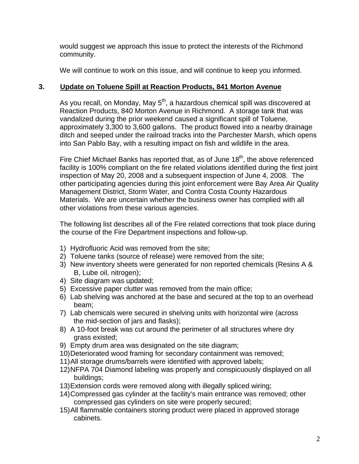would suggest we approach this issue to protect the interests of the Richmond community.

We will continue to work on this issue, and will continue to keep you informed.

# **3. Update on Toluene Spill at Reaction Products, 841 Morton Avenue**

As you recall, on Monday, May 5<sup>th</sup>, a hazardous chemical spill was discovered at Reaction Products, 840 Morton Avenue in Richmond. A storage tank that was vandalized during the prior weekend caused a significant spill of Toluene, approximately 3,300 to 3,600 gallons. The product flowed into a nearby drainage ditch and seeped under the railroad tracks into the Parchester Marsh, which opens into San Pablo Bay, with a resulting impact on fish and wildlife in the area.

Fire Chief Michael Banks has reported that, as of June  $18<sup>th</sup>$ , the above referenced facility is 100% compliant on the fire related violations identified during the first joint inspection of May 20, 2008 and a subsequent inspection of June 4, 2008. The other participating agencies during this joint enforcement were Bay Area Air Quality Management District, Storm Water, and Contra Costa County Hazardous Materials. We are uncertain whether the business owner has complied with all other violations from these various agencies.

The following list describes all of the Fire related corrections that took place during the course of the Fire Department inspections and follow-up.

- 1) Hydrofluoric Acid was removed from the site;
- 2) Toluene tanks (source of release) were removed from the site;
- 3) New inventory sheets were generated for non reported chemicals (Resins A & B, Lube oil, nitrogen);
- 4) Site diagram was updated;
- 5) Excessive paper clutter was removed from the main office;
- 6) Lab shelving was anchored at the base and secured at the top to an overhead beam;
- 7) Lab chemicals were secured in shelving units with horizontal wire (across the mid-section of jars and flasks);
- 8) A 10-foot break was cut around the perimeter of all structures where dry grass existed;
- 9) Empty drum area was designated on the site diagram;
- 10) Deteriorated wood framing for secondary containment was removed;
- 11) All storage drums/barrels were identified with approved labels;
- 12) NFPA 704 Diamond labeling was properly and conspicuously displayed on all buildings;
- 13) Extension cords were removed along with illegally spliced wiring;
- 14) Compressed gas cylinder at the facility's main entrance was removed; other compressed gas cylinders on site were properly secured;
- 15) All flammable containers storing product were placed in approved storage cabinets.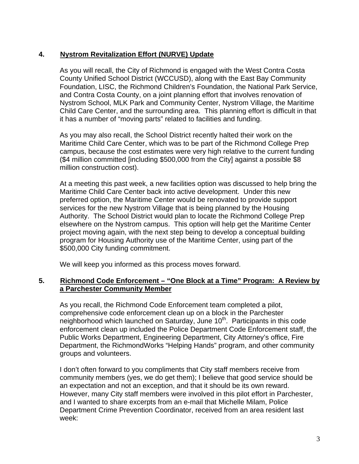# **4. Nystrom Revitalization Effort (NURVE) Update**

As you will recall, the City of Richmond is engaged with the West Contra Costa County Unified School District (WCCUSD), along with the East Bay Community Foundation, LISC, the Richmond Children's Foundation, the National Park Service, and Contra Costa County, on a joint planning effort that involves renovation of Nystrom School, MLK Park and Community Center, Nystrom Village, the Maritime Child Care Center, and the surrounding area. This planning effort is difficult in that it has a number of "moving parts" related to facilities and funding.

As you may also recall, the School District recently halted their work on the Maritime Child Care Center, which was to be part of the Richmond College Prep campus, because the cost estimates were very high relative to the current funding (\$4 million committed [including \$500,000 from the City] against a possible \$8 million construction cost).

At a meeting this past week, a new facilities option was discussed to help bring the Maritime Child Care Center back into active development. Under this new preferred option, the Maritime Center would be renovated to provide support services for the new Nystrom Village that is being planned by the Housing Authority. The School District would plan to locate the Richmond College Prep elsewhere on the Nystrom campus. This option will help get the Maritime Center project moving again, with the next step being to develop a conceptual building program for Housing Authority use of the Maritime Center, using part of the \$500,000 City funding commitment.

We will keep you informed as this process moves forward.

#### **5. Richmond Code Enforcement – "One Block at a Time" Program: A Review by a Parchester Community Member**

As you recall, the Richmond Code Enforcement team completed a pilot, comprehensive code enforcement clean up on a block in the Parchester neighborhood which launched on Saturday, June  $10<sup>th</sup>$ . Participants in this code enforcement clean up included the Police Department Code Enforcement staff, the Public Works Department, Engineering Department, City Attorney's office, Fire Department, the RichmondWorks "Helping Hands" program, and other community groups and volunteers.

I don't often forward to you compliments that City staff members receive from community members (yes, we do get them); I believe that good service should be an expectation and not an exception, and that it should be its own reward. However, many City staff members were involved in this pilot effort in Parchester, and I wanted to share excerpts from an e-mail that Michelle Milam, Police Department Crime Prevention Coordinator, received from an area resident last week: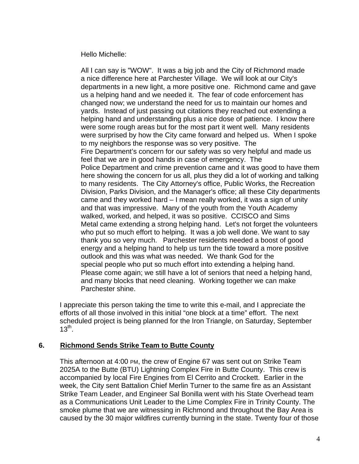Hello Michelle:

All I can say is "WOW". It was a big job and the City of Richmond made a nice difference here at Parchester Village. We will look at our City's departments in a new light, a more positive one. Richmond came and gave us a helping hand and we needed it. The fear of code enforcement has changed now; we understand the need for us to maintain our homes and yards. Instead of just passing out citations they reached out extending a helping hand and understanding plus a nice dose of patience. I know there were some rough areas but for the most part it went well. Many residents were surprised by how the City came forward and helped us. When I spoke to my neighbors the response was so very positive. The Fire Department's concern for our safety was so very helpful and made us feel that we are in good hands in case of emergency. The Police Department and crime prevention came and it was good to have them here showing the concern for us all, plus they did a lot of working and talking to many residents. The City Attorney's office, Public Works, the Recreation Division, Parks Division, and the Manager's office; all these City departments came and they worked hard – I mean really worked, it was a sign of unity and that was impressive. Many of the youth from the Youth Academy walked, worked, and helped, it was so positive. CCISCO and Sims Metal came extending a strong helping hand. Let's not forget the volunteers who put so much effort to helping. It was a job well done. We want to say thank you so very much. Parchester residents needed a boost of good energy and a helping hand to help us turn the tide toward a more positive outlook and this was what was needed. We thank God for the special people who put so much effort into extending a helping hand. Please come again; we still have a lot of seniors that need a helping hand, and many blocks that need cleaning. Working together we can make Parchester shine.

I appreciate this person taking the time to write this e-mail, and I appreciate the efforts of all those involved in this initial "one block at a time" effort. The next scheduled project is being planned for the Iron Triangle, on Saturday, September  $13<sup>th</sup>$ .

# **6. Richmond Sends Strike Team to Butte County**

This afternoon at 4:00 PM, the crew of Engine 67 was sent out on Strike Team 2025A to the Butte (BTU) Lightning Complex Fire in Butte County. This crew is accompanied by local Fire Engines from El Cerrito and Crockett. Earlier in the week, the City sent Battalion Chief Merlin Turner to the same fire as an Assistant Strike Team Leader, and Engineer Sal Bonilla went with his State Overhead team as a Communications Unit Leader to the Lime Complex Fire in Trinity County. The smoke plume that we are witnessing in Richmond and throughout the Bay Area is caused by the 30 major wildfires currently burning in the state. Twenty four of those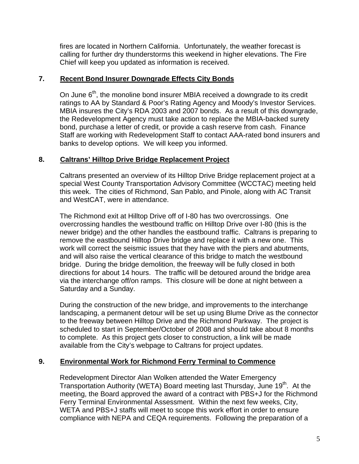fires are located in Northern California. Unfortunately, the weather forecast is calling for further dry thunderstorms this weekend in higher elevations. The Fire Chief will keep you updated as information is received.

#### **7. Recent Bond Insurer Downgrade Effects City Bonds**

On June  $6<sup>th</sup>$ , the monoline bond insurer MBIA received a downgrade to its credit ratings to AA by Standard & Poor's Rating Agency and Moody's Investor Services. MBIA insures the City's RDA 2003 and 2007 bonds. As a result of this downgrade, the Redevelopment Agency must take action to replace the MBIA-backed surety bond, purchase a letter of credit, or provide a cash reserve from cash. Finance Staff are working with Redevelopment Staff to contact AAA-rated bond insurers and banks to develop options. We will keep you informed.

# **8. Caltrans' Hilltop Drive Bridge Replacement Project**

Caltrans presented an overview of its Hilltop Drive Bridge replacement project at a special West County Transportation Advisory Committee (WCCTAC) meeting held this week. The cities of Richmond, San Pablo, and Pinole, along with AC Transit and WestCAT, were in attendance.

The Richmond exit at Hilltop Drive off of I-80 has two overcrossings. One overcrossing handles the westbound traffic on Hilltop Drive over I-80 (this is the newer bridge) and the other handles the eastbound traffic. Caltrans is preparing to remove the eastbound Hilltop Drive bridge and replace it with a new one. This work will correct the seismic issues that they have with the piers and abutments, and will also raise the vertical clearance of this bridge to match the westbound bridge. During the bridge demolition, the freeway will be fully closed in both directions for about 14 hours. The traffic will be detoured around the bridge area via the interchange off/on ramps. This closure will be done at night between a Saturday and a Sunday.

During the construction of the new bridge, and improvements to the interchange landscaping, a permanent detour will be set up using Blume Drive as the connector to the freeway between Hilltop Drive and the Richmond Parkway. The project is scheduled to start in September/October of 2008 and should take about 8 months to complete. As this project gets closer to construction, a link will be made available from the City's webpage to Caltrans for project updates.

# **9. Environmental Work for Richmond Ferry Terminal to Commence**

Redevelopment Director Alan Wolken attended the Water Emergency Transportation Authority (WETA) Board meeting last Thursday, June 19<sup>th</sup>. At the meeting, the Board approved the award of a contract with PBS+J for the Richmond Ferry Terminal Environmental Assessment. Within the next few weeks, City, WETA and PBS+J staffs will meet to scope this work effort in order to ensure compliance with NEPA and CEQA requirements. Following the preparation of a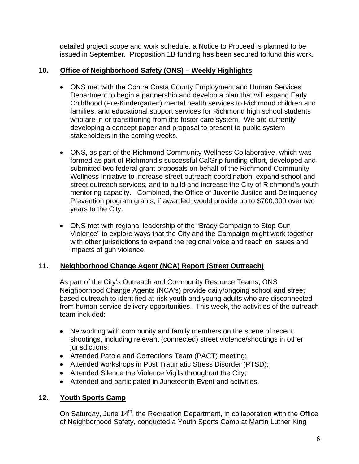detailed project scope and work schedule, a Notice to Proceed is planned to be issued in September. Proposition 1B funding has been secured to fund this work.

# **10. Office of Neighborhood Safety (ONS) – Weekly Highlights**

- ONS met with the Contra Costa County Employment and Human Services Department to begin a partnership and develop a plan that will expand Early Childhood (Pre-Kindergarten) mental health services to Richmond children and families, and educational support services for Richmond high school students who are in or transitioning from the foster care system. We are currently developing a concept paper and proposal to present to public system stakeholders in the coming weeks.
- ONS, as part of the Richmond Community Wellness Collaborative, which was formed as part of Richmond's successful CalGrip funding effort, developed and submitted two federal grant proposals on behalf of the Richmond Community Wellness Initiative to increase street outreach coordination, expand school and street outreach services, and to build and increase the City of Richmond's youth mentoring capacity. Combined, the Office of Juvenile Justice and Delinquency Prevention program grants, if awarded, would provide up to \$700,000 over two years to the City.
- ONS met with regional leadership of the "Brady Campaign to Stop Gun Violence" to explore ways that the City and the Campaign might work together with other jurisdictions to expand the regional voice and reach on issues and impacts of gun violence.

# **11. Neighborhood Change Agent (NCA) Report (Street Outreach)**

As part of the City's Outreach and Community Resource Teams, ONS Neighborhood Change Agents (NCA's) provide daily/ongoing school and street based outreach to identified at-risk youth and young adults who are disconnected from human service delivery opportunities. This week, the activities of the outreach team included:

- Networking with community and family members on the scene of recent shootings, including relevant (connected) street violence/shootings in other jurisdictions;
- Attended Parole and Corrections Team (PACT) meeting;
- Attended workshops in Post Traumatic Stress Disorder (PTSD);
- Attended Silence the Violence Vigils throughout the City;
- Attended and participated in Juneteenth Event and activities.

# **12. Youth Sports Camp**

On Saturday, June 14<sup>th</sup>, the Recreation Department, in collaboration with the Office of Neighborhood Safety, conducted a Youth Sports Camp at Martin Luther King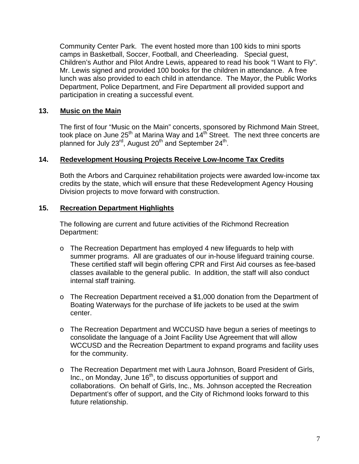Community Center Park. The event hosted more than 100 kids to mini sports camps in Basketball, Soccer, Football, and Cheerleading. Special guest, Children's Author and Pilot Andre Lewis, appeared to read his book "I Want to Fly". Mr. Lewis signed and provided 100 books for the children in attendance. A free lunch was also provided to each child in attendance. The Mayor, the Public Works Department, Police Department, and Fire Department all provided support and participation in creating a successful event.

# **13. Music on the Main**

The first of four "Music on the Main" concerts, sponsored by Richmond Main Street, took place on June  $25<sup>th</sup>$  at Marina Way and  $14<sup>th</sup>$  Street. The next three concerts are planned for July  $23^{\text{rd}}$ , August  $20^{\text{th}}$  and September  $24^{\text{th}}$ .

#### **14. Redevelopment Housing Projects Receive Low-Income Tax Credits**

Both the Arbors and Carquinez rehabilitation projects were awarded low-income tax credits by the state, which will ensure that these Redevelopment Agency Housing Division projects to move forward with construction.

#### **15. Recreation Department Highlights**

The following are current and future activities of the Richmond Recreation Department:

- o The Recreation Department has employed 4 new lifeguards to help with summer programs. All are graduates of our in-house lifeguard training course. These certified staff will begin offering CPR and First Aid courses as fee-based classes available to the general public. In addition, the staff will also conduct internal staff training.
- o The Recreation Department received a \$1,000 donation from the Department of Boating Waterways for the purchase of life jackets to be used at the swim center.
- o The Recreation Department and WCCUSD have begun a series of meetings to consolidate the language of a Joint Facility Use Agreement that will allow WCCUSD and the Recreation Department to expand programs and facility uses for the community.
- o The Recreation Department met with Laura Johnson, Board President of Girls, Inc., on Monday, June 16<sup>th</sup>, to discuss opportunities of support and collaborations. On behalf of Girls, Inc., Ms. Johnson accepted the Recreation Department's offer of support, and the City of Richmond looks forward to this future relationship.